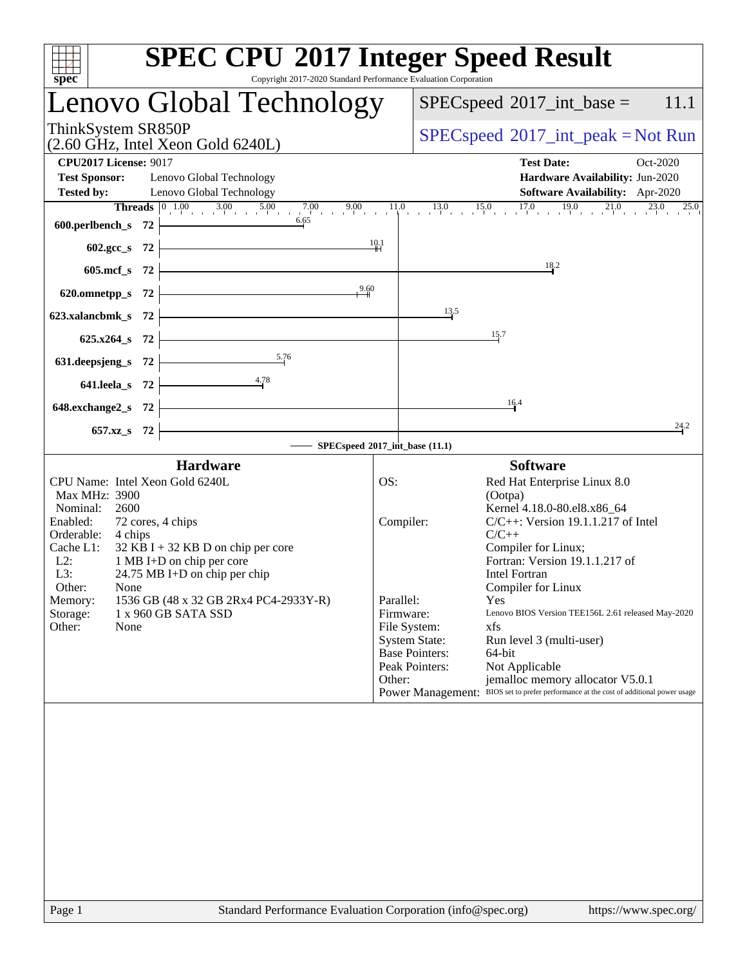| Copyright 2017-2020 Standard Performance Evaluation Corporation<br>$spec^*$                                                                   | <b>SPEC CPU®2017 Integer Speed Result</b>                                                                                                      |
|-----------------------------------------------------------------------------------------------------------------------------------------------|------------------------------------------------------------------------------------------------------------------------------------------------|
| Lenovo Global Technology                                                                                                                      | $SPEC speed^{\circ}2017\_int\_base =$<br>11.1                                                                                                  |
| ThinkSystem SR850P<br>$(2.60 \text{ GHz}, \text{Intel Xeon Gold } 6240L)$                                                                     | $SPEC speed^{\circ}2017\_int\_peak = Not Run$                                                                                                  |
| <b>CPU2017 License: 9017</b>                                                                                                                  | <b>Test Date:</b><br>Oct-2020                                                                                                                  |
| <b>Test Sponsor:</b><br>Lenovo Global Technology<br>Lenovo Global Technology<br><b>Tested by:</b>                                             | Hardware Availability: Jun-2020<br><b>Software Availability:</b> Apr-2020                                                                      |
|                                                                                                                                               |                                                                                                                                                |
| 600.perlbench_s $72$                                                                                                                          |                                                                                                                                                |
| 602.gcc_s 72 $\vert$                                                                                                                          | 10.1                                                                                                                                           |
| <u> 1989 - Johann Stoff, deutscher Stoffen und der Stoffen und der Stoffen und der Stoffen und der Stoffen und der</u><br>605.mcf $s$ 72      | 18.2                                                                                                                                           |
| 620.omnetpp_s 72 $\frac{9.60}{100}$                                                                                                           |                                                                                                                                                |
| 623.xalancbmk_s $72$                                                                                                                          | 13.5                                                                                                                                           |
| $625.x264_s$ 72                                                                                                                               | 15.7                                                                                                                                           |
| 631.deepsjeng_s $72$ $\overline{\smash)376}$                                                                                                  |                                                                                                                                                |
| 4.78<br>641.leela_s 72 $\vdash$                                                                                                               |                                                                                                                                                |
| <u> 1989 - Johann Barn, mars ann an t-Amhain Aonaich an t-Aonaich an t-Aonaich ann an t-Aonaich ann an t-Aonaich</u><br>648.exchange $2_s$ 72 | 16.4                                                                                                                                           |
| 657.xz_s 72                                                                                                                                   | 24.2                                                                                                                                           |
| SPECspeed®2017_int_base (11.1)                                                                                                                |                                                                                                                                                |
| <b>Hardware</b>                                                                                                                               | <b>Software</b>                                                                                                                                |
| CPU Name: Intel Xeon Gold 6240L<br>Max MHz: 3900                                                                                              | OS:<br>Red Hat Enterprise Linux 8.0<br>(Ootpa)                                                                                                 |
| Nominal:<br>2600<br>Enabled:<br>72 cores, 4 chips                                                                                             | Kernel 4.18.0-80.el8.x86_64<br>Compiler:<br>$C/C++$ : Version 19.1.1.217 of Intel                                                              |
| Orderable: 4 chips                                                                                                                            | $C/C++$                                                                                                                                        |
| Cache L1:<br>$32$ KB I + 32 KB D on chip per core<br>L2: 1 MB I+D on chip per core                                                            | Compiler for Linux;<br>Fortran: Version 19.1.1.217 of                                                                                          |
| L3:<br>24.75 MB I+D on chip per chip<br>Other: None                                                                                           | Intel Fortran                                                                                                                                  |
| 1536 GB (48 x 32 GB 2Rx4 PC4-2933Y-R)<br>Memory:                                                                                              | Compiler for Linux<br>Parallel:<br>Yes                                                                                                         |
| 1 x 960 GB SATA SSD<br>Storage:<br>Other:<br>None                                                                                             | Lenovo BIOS Version TEE156L 2.61 released May-2020<br>Firmware:<br>File System:<br>xfs                                                         |
|                                                                                                                                               | <b>System State:</b><br>Run level 3 (multi-user)                                                                                               |
|                                                                                                                                               | <b>Base Pointers:</b><br>64-bit<br>Peak Pointers:<br>Not Applicable                                                                            |
|                                                                                                                                               | jemalloc memory allocator V5.0.1<br>Other:<br>BIOS set to prefer performance at the cost of additional power usage<br><b>Power Management:</b> |
|                                                                                                                                               |                                                                                                                                                |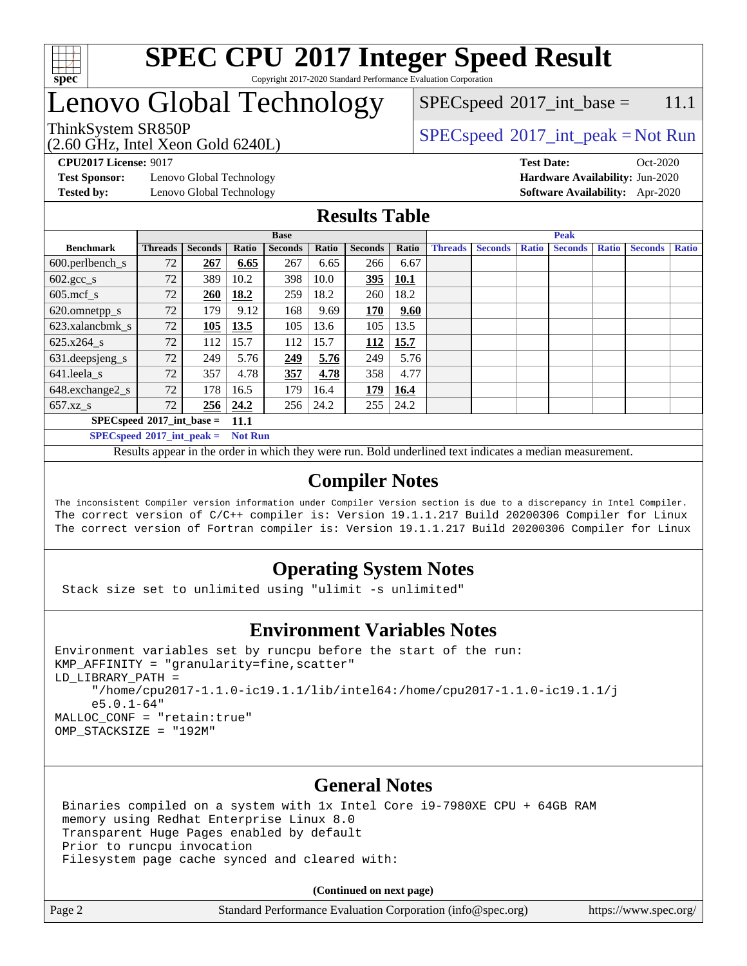

## Lenovo Global Technology

(2.60 GHz, Intel Xeon Gold 6240L)

ThinkSystem SR850P<br>  $SPEC speed^{\circ}2017\_int\_peak = Not Run$  $SPEC speed^{\circ}2017\_int\_base = 11.1$ 

**[Test Sponsor:](http://www.spec.org/auto/cpu2017/Docs/result-fields.html#TestSponsor)** Lenovo Global Technology **[Hardware Availability:](http://www.spec.org/auto/cpu2017/Docs/result-fields.html#HardwareAvailability)** Jun-2020 **[Tested by:](http://www.spec.org/auto/cpu2017/Docs/result-fields.html#Testedby)** Lenovo Global Technology **[Software Availability:](http://www.spec.org/auto/cpu2017/Docs/result-fields.html#SoftwareAvailability)** Apr-2020

**[CPU2017 License:](http://www.spec.org/auto/cpu2017/Docs/result-fields.html#CPU2017License)** 9017 **[Test Date:](http://www.spec.org/auto/cpu2017/Docs/result-fields.html#TestDate)** Oct-2020

#### **[Results Table](http://www.spec.org/auto/cpu2017/Docs/result-fields.html#ResultsTable)**

|                                     | <b>Base</b>    |       |                |       |                |             | <b>Peak</b>    |                |              |                |              |         |              |
|-------------------------------------|----------------|-------|----------------|-------|----------------|-------------|----------------|----------------|--------------|----------------|--------------|---------|--------------|
| <b>Threads</b>                      | <b>Seconds</b> | Ratio | <b>Seconds</b> | Ratio | <b>Seconds</b> | Ratio       | <b>Threads</b> | <b>Seconds</b> | <b>Ratio</b> | <b>Seconds</b> | <b>Ratio</b> | Seconds | <b>Ratio</b> |
| 72                                  | 267            | 6.65  | 267            | 6.65  | 266            | 6.67        |                |                |              |                |              |         |              |
| 72                                  | 389            | 10.2  | 398            | 10.0  | 395            | <b>10.1</b> |                |                |              |                |              |         |              |
| 72                                  | 260            | 18.2  | 259            | 18.2  | 260            | 18.2        |                |                |              |                |              |         |              |
| 72                                  | 179            | 9.12  | 168            | 9.69  | 170            | 9.60        |                |                |              |                |              |         |              |
| 72                                  | 105            | 13.5  | 105            | 13.6  | 105            | 13.5        |                |                |              |                |              |         |              |
| 72                                  | 112            | 15.7  | 112            | 15.7  | 112            | 15.7        |                |                |              |                |              |         |              |
| 72                                  | 249            | 5.76  | 249            | 5.76  | 249            | 5.76        |                |                |              |                |              |         |              |
| 72                                  | 357            | 4.78  | 357            | 4.78  | 358            | 4.77        |                |                |              |                |              |         |              |
| 72                                  | 178            | 16.5  | 179            | 16.4  | 179            | 16.4        |                |                |              |                |              |         |              |
| 72                                  | 256            | 24.2  | 256            | 24.2  | 255            | 24.2        |                |                |              |                |              |         |              |
| $SPECspeed*2017$ int base =<br>11.1 |                |       |                |       |                |             |                |                |              |                |              |         |              |
|                                     |                |       |                |       |                |             |                |                |              |                |              |         |              |

**[SPECspeed](http://www.spec.org/auto/cpu2017/Docs/result-fields.html#SPECspeed2017intpeak)[2017\\_int\\_peak =](http://www.spec.org/auto/cpu2017/Docs/result-fields.html#SPECspeed2017intpeak) Not Run**

Results appear in the [order in which they were run.](http://www.spec.org/auto/cpu2017/Docs/result-fields.html#RunOrder) Bold underlined text [indicates a median measurement.](http://www.spec.org/auto/cpu2017/Docs/result-fields.html#Median)

#### **[Compiler Notes](http://www.spec.org/auto/cpu2017/Docs/result-fields.html#CompilerNotes)**

The inconsistent Compiler version information under Compiler Version section is due to a discrepancy in Intel Compiler. The correct version of C/C++ compiler is: Version 19.1.1.217 Build 20200306 Compiler for Linux The correct version of Fortran compiler is: Version 19.1.1.217 Build 20200306 Compiler for Linux

#### **[Operating System Notes](http://www.spec.org/auto/cpu2017/Docs/result-fields.html#OperatingSystemNotes)**

Stack size set to unlimited using "ulimit -s unlimited"

#### **[Environment Variables Notes](http://www.spec.org/auto/cpu2017/Docs/result-fields.html#EnvironmentVariablesNotes)**

```
Environment variables set by runcpu before the start of the run:
KMP_AFFINITY = "granularity=fine,scatter"
LD_LIBRARY_PATH =
      "/home/cpu2017-1.1.0-ic19.1.1/lib/intel64:/home/cpu2017-1.1.0-ic19.1.1/j
      e5.0.1-64"
MALLOC_CONF = "retain:true"
OMP_STACKSIZE = "192M"
```
#### **[General Notes](http://www.spec.org/auto/cpu2017/Docs/result-fields.html#GeneralNotes)**

 Binaries compiled on a system with 1x Intel Core i9-7980XE CPU + 64GB RAM memory using Redhat Enterprise Linux 8.0 Transparent Huge Pages enabled by default Prior to runcpu invocation Filesystem page cache synced and cleared with:

**(Continued on next page)**

Page 2 Standard Performance Evaluation Corporation [\(info@spec.org\)](mailto:info@spec.org) <https://www.spec.org/>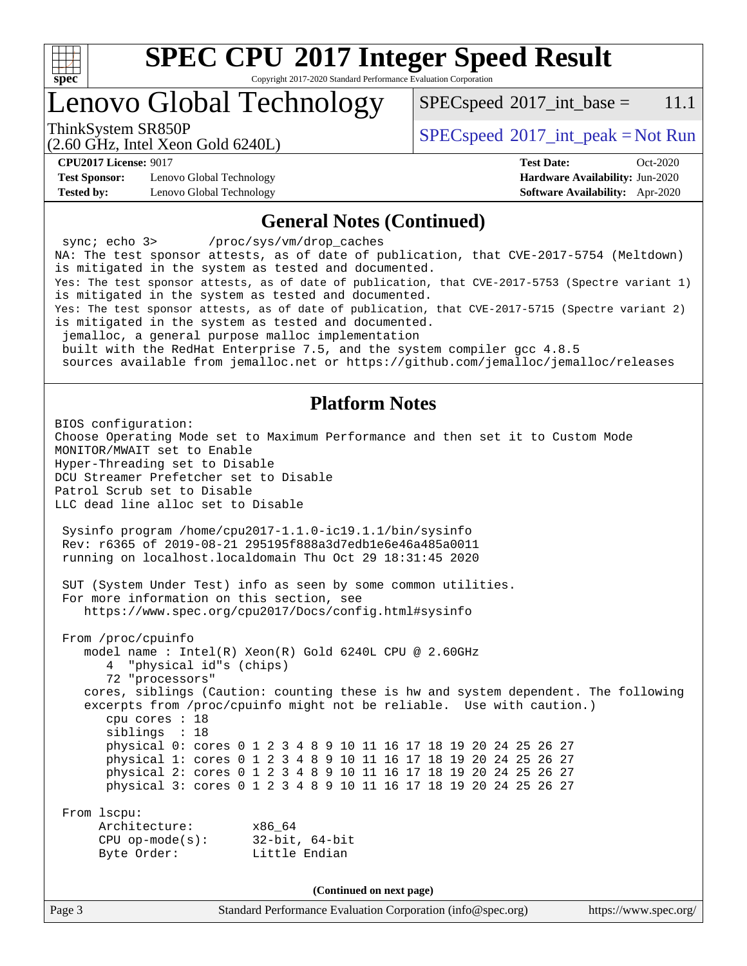

# **[SPEC CPU](http://www.spec.org/auto/cpu2017/Docs/result-fields.html#SPECCPU2017IntegerSpeedResult)[2017 Integer Speed Result](http://www.spec.org/auto/cpu2017/Docs/result-fields.html#SPECCPU2017IntegerSpeedResult)**

Copyright 2017-2020 Standard Performance Evaluation Corporation

### Lenovo Global Technology

 $SPECspeed^{\circ}2017\_int\_base = 11.1$  $SPECspeed^{\circ}2017\_int\_base = 11.1$ 

(2.60 GHz, Intel Xeon Gold 6240L)

ThinkSystem SR850P<br>  $\begin{array}{c}\n\text{SPEC speed} \text{°2017\_int\_peak} = \text{Not Run} \\
\text{SPEC speed} \text{°2017\_int\_peak} = \text{Not Run} \\
\end{array}$ 

**[Test Sponsor:](http://www.spec.org/auto/cpu2017/Docs/result-fields.html#TestSponsor)** Lenovo Global Technology **[Hardware Availability:](http://www.spec.org/auto/cpu2017/Docs/result-fields.html#HardwareAvailability)** Jun-2020 **[Tested by:](http://www.spec.org/auto/cpu2017/Docs/result-fields.html#Testedby)** Lenovo Global Technology **[Software Availability:](http://www.spec.org/auto/cpu2017/Docs/result-fields.html#SoftwareAvailability)** Apr-2020

**[CPU2017 License:](http://www.spec.org/auto/cpu2017/Docs/result-fields.html#CPU2017License)** 9017 **[Test Date:](http://www.spec.org/auto/cpu2017/Docs/result-fields.html#TestDate)** Oct-2020

#### **[General Notes \(Continued\)](http://www.spec.org/auto/cpu2017/Docs/result-fields.html#GeneralNotes)**

Page 3 Standard Performance Evaluation Corporation [\(info@spec.org\)](mailto:info@spec.org) <https://www.spec.org/> sync; echo 3> /proc/sys/vm/drop\_caches NA: The test sponsor attests, as of date of publication, that CVE-2017-5754 (Meltdown) is mitigated in the system as tested and documented. Yes: The test sponsor attests, as of date of publication, that CVE-2017-5753 (Spectre variant 1) is mitigated in the system as tested and documented. Yes: The test sponsor attests, as of date of publication, that CVE-2017-5715 (Spectre variant 2) is mitigated in the system as tested and documented. jemalloc, a general purpose malloc implementation built with the RedHat Enterprise 7.5, and the system compiler gcc 4.8.5 sources available from jemalloc.net or<https://github.com/jemalloc/jemalloc/releases> **[Platform Notes](http://www.spec.org/auto/cpu2017/Docs/result-fields.html#PlatformNotes)** BIOS configuration: Choose Operating Mode set to Maximum Performance and then set it to Custom Mode MONITOR/MWAIT set to Enable Hyper-Threading set to Disable DCU Streamer Prefetcher set to Disable Patrol Scrub set to Disable LLC dead line alloc set to Disable Sysinfo program /home/cpu2017-1.1.0-ic19.1.1/bin/sysinfo Rev: r6365 of 2019-08-21 295195f888a3d7edb1e6e46a485a0011 running on localhost.localdomain Thu Oct 29 18:31:45 2020 SUT (System Under Test) info as seen by some common utilities. For more information on this section, see <https://www.spec.org/cpu2017/Docs/config.html#sysinfo> From /proc/cpuinfo model name : Intel(R) Xeon(R) Gold 6240L CPU @ 2.60GHz 4 "physical id"s (chips) 72 "processors" cores, siblings (Caution: counting these is hw and system dependent. The following excerpts from /proc/cpuinfo might not be reliable. Use with caution.) cpu cores : 18 siblings : 18 physical 0: cores 0 1 2 3 4 8 9 10 11 16 17 18 19 20 24 25 26 27 physical 1: cores 0 1 2 3 4 8 9 10 11 16 17 18 19 20 24 25 26 27 physical 2: cores 0 1 2 3 4 8 9 10 11 16 17 18 19 20 24 25 26 27 physical 3: cores 0 1 2 3 4 8 9 10 11 16 17 18 19 20 24 25 26 27 From lscpu: Architecture: x86\_64 CPU op-mode(s): 32-bit, 64-bit Byte Order: Little Endian **(Continued on next page)**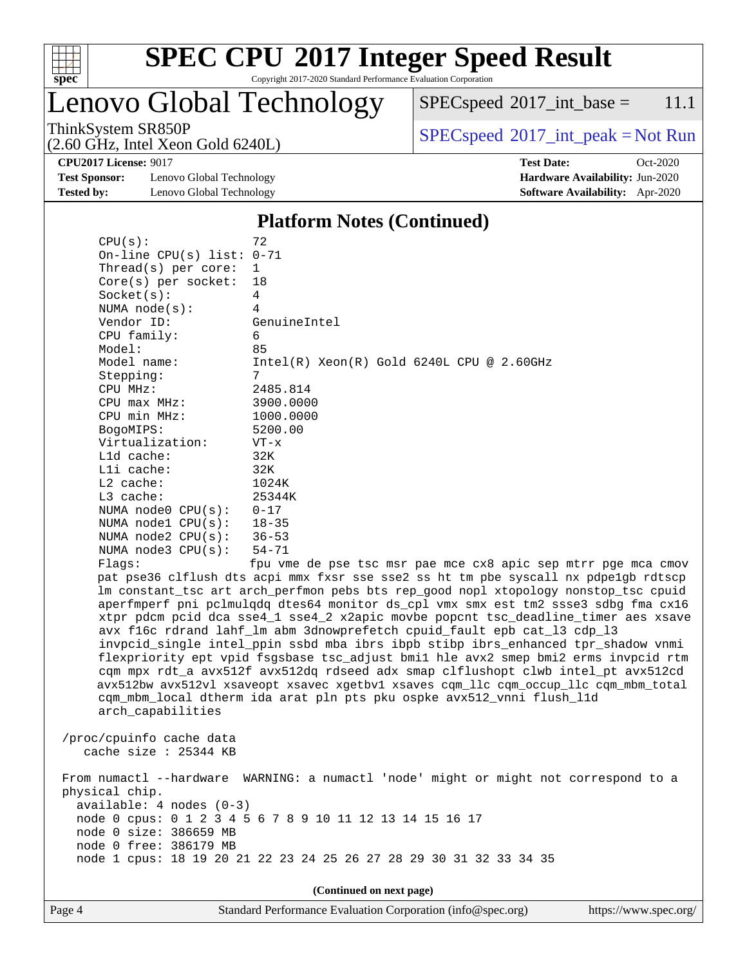

Lenovo Global Technology

 $SPECspeed^{\circ}2017\_int\_base = 11.1$  $SPECspeed^{\circ}2017\_int\_base = 11.1$ 

(2.60 GHz, Intel Xeon Gold 6240L)

ThinkSystem SR850P<br>  $(2.60 \text{ GHz, Intel Yoon Gold } 6240I)$  [SPECspeed](http://www.spec.org/auto/cpu2017/Docs/result-fields.html#SPECspeed2017intpeak)<sup>®</sup>[2017\\_int\\_peak = N](http://www.spec.org/auto/cpu2017/Docs/result-fields.html#SPECspeed2017intpeak)ot Run

**[Test Sponsor:](http://www.spec.org/auto/cpu2017/Docs/result-fields.html#TestSponsor)** Lenovo Global Technology **[Hardware Availability:](http://www.spec.org/auto/cpu2017/Docs/result-fields.html#HardwareAvailability)** Jun-2020 **[Tested by:](http://www.spec.org/auto/cpu2017/Docs/result-fields.html#Testedby)** Lenovo Global Technology **[Software Availability:](http://www.spec.org/auto/cpu2017/Docs/result-fields.html#SoftwareAvailability)** Apr-2020

 $CPU(s):$  72

**[CPU2017 License:](http://www.spec.org/auto/cpu2017/Docs/result-fields.html#CPU2017License)** 9017 **[Test Date:](http://www.spec.org/auto/cpu2017/Docs/result-fields.html#TestDate)** Oct-2020

#### **[Platform Notes \(Continued\)](http://www.spec.org/auto/cpu2017/Docs/result-fields.html#PlatformNotes)**

| On-line CPU(s) list: 0-71                         |                                                                                                                                                      |
|---------------------------------------------------|------------------------------------------------------------------------------------------------------------------------------------------------------|
| Thread(s) per core:                               | $\mathbf 1$                                                                                                                                          |
| $Core(s)$ per socket:                             | 18                                                                                                                                                   |
| Socket(s):                                        | 4                                                                                                                                                    |
| NUMA $node(s):$                                   | 4                                                                                                                                                    |
| Vendor ID:                                        | GenuineIntel                                                                                                                                         |
| CPU family:                                       | 6                                                                                                                                                    |
| Model:                                            | 85                                                                                                                                                   |
| Model name:                                       | $Intel(R) Xeon(R) Gold 6240L CPU @ 2.60GHz$                                                                                                          |
| Stepping:                                         | 7                                                                                                                                                    |
| CPU MHz:                                          | 2485.814                                                                                                                                             |
| $CPU$ max $MHz$ :                                 | 3900.0000                                                                                                                                            |
| CPU min MHz:                                      | 1000.0000                                                                                                                                            |
| BogoMIPS:                                         | 5200.00                                                                                                                                              |
| Virtualization:                                   | $VT - x$                                                                                                                                             |
| L1d cache:                                        | 32K                                                                                                                                                  |
| Lli cache:                                        | 32K                                                                                                                                                  |
| $L2$ cache:                                       | 1024K                                                                                                                                                |
| L3 cache:                                         | 25344K                                                                                                                                               |
| NUMA node0 CPU(s):                                | $0 - 17$                                                                                                                                             |
| NUMA $node1$ $CPU(s)$ :                           | $18 - 35$                                                                                                                                            |
| NUMA $node2$ $CPU(s):$                            | $36 - 53$                                                                                                                                            |
| NUMA $node3$ $CPU(s)$ :                           | 54-71                                                                                                                                                |
| Flags:                                            | fpu vme de pse tsc msr pae mce cx8 apic sep mtrr pge mca cmov<br>pat pse36 clflush dts acpi mmx fxsr sse sse2 ss ht tm pbe syscall nx pdpelgb rdtscp |
|                                                   | lm constant_tsc art arch_perfmon pebs bts rep_good nopl xtopology nonstop_tsc cpuid                                                                  |
|                                                   | aperfmperf pni pclmulqdq dtes64 monitor ds_cpl vmx smx est tm2 ssse3 sdbg fma cx16                                                                   |
|                                                   | xtpr pdcm pcid dca sse4_1 sse4_2 x2apic movbe popcnt tsc_deadline_timer aes xsave                                                                    |
|                                                   | avx f16c rdrand lahf_lm abm 3dnowprefetch cpuid_fault epb cat_13 cdp_13                                                                              |
|                                                   | invpcid_single intel_ppin ssbd mba ibrs ibpb stibp ibrs_enhanced tpr_shadow vnmi                                                                     |
|                                                   | flexpriority ept vpid fsgsbase tsc_adjust bmil hle avx2 smep bmi2 erms invpcid rtm                                                                   |
|                                                   | cqm mpx rdt_a avx512f avx512dq rdseed adx smap clflushopt clwb intel_pt avx512cd                                                                     |
|                                                   | avx512bw avx512vl xsaveopt xsavec xgetbvl xsaves cqm_llc cqm_occup_llc cqm_mbm_total                                                                 |
|                                                   | cqm_mbm_local dtherm ida arat pln pts pku ospke avx512_vnni flush_l1d                                                                                |
| arch_capabilities                                 |                                                                                                                                                      |
|                                                   |                                                                                                                                                      |
| /proc/cpuinfo cache data<br>cache size : 25344 KB |                                                                                                                                                      |
|                                                   |                                                                                                                                                      |
|                                                   | From numactl --hardware WARNING: a numactl 'node' might or might not correspond to a                                                                 |
| physical chip.                                    |                                                                                                                                                      |
| $available: 4 nodes (0-3)$                        |                                                                                                                                                      |
|                                                   | node 0 cpus: 0 1 2 3 4 5 6 7 8 9 10 11 12 13 14 15 16 17                                                                                             |
| node 0 size: 386659 MB                            |                                                                                                                                                      |
| node 0 free: 386179 MB                            |                                                                                                                                                      |
|                                                   | node 1 cpus: 18 19 20 21 22 23 24 25 26 27 28 29 30 31 32 33 34 35                                                                                   |
|                                                   |                                                                                                                                                      |

**(Continued on next page)**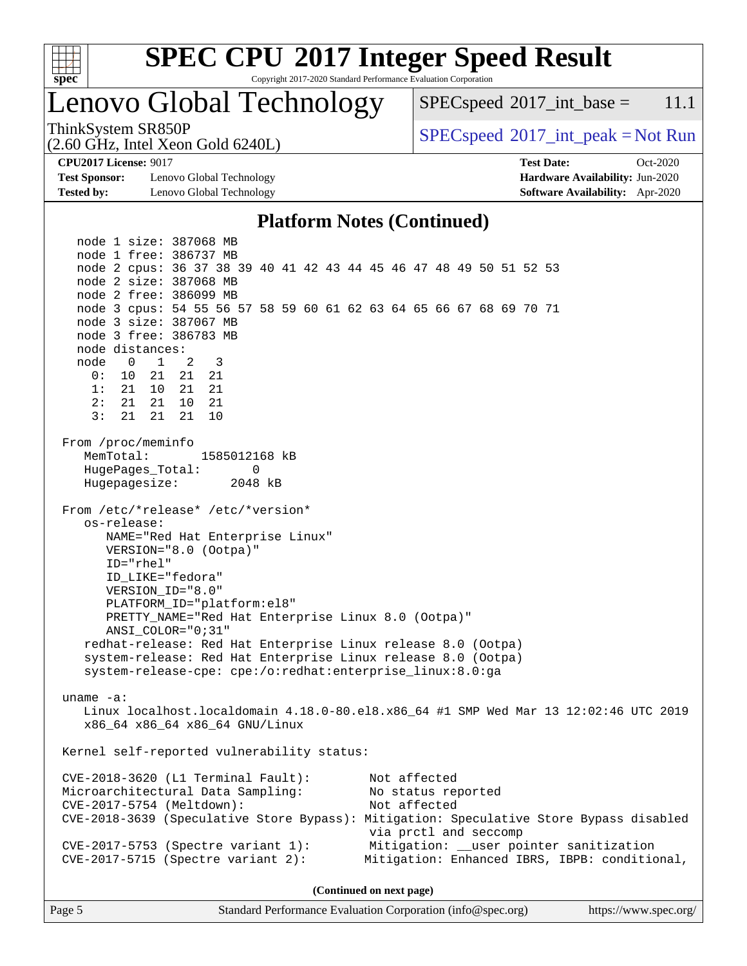

# **[SPEC CPU](http://www.spec.org/auto/cpu2017/Docs/result-fields.html#SPECCPU2017IntegerSpeedResult)[2017 Integer Speed Result](http://www.spec.org/auto/cpu2017/Docs/result-fields.html#SPECCPU2017IntegerSpeedResult)**

Copyright 2017-2020 Standard Performance Evaluation Corporation

### Lenovo Global Technology

 $SPECspeed^{\circ}2017\_int\_base = 11.1$  $SPECspeed^{\circ}2017\_int\_base = 11.1$ 

ThinkSystem SR850P<br>  $SPEC speed^{\circ}2017\_int\_peak = Not Run$ 

**[Test Sponsor:](http://www.spec.org/auto/cpu2017/Docs/result-fields.html#TestSponsor)** Lenovo Global Technology **[Hardware Availability:](http://www.spec.org/auto/cpu2017/Docs/result-fields.html#HardwareAvailability)** Jun-2020 **[Tested by:](http://www.spec.org/auto/cpu2017/Docs/result-fields.html#Testedby)** Lenovo Global Technology **[Software Availability:](http://www.spec.org/auto/cpu2017/Docs/result-fields.html#SoftwareAvailability)** Apr-2020

(2.60 GHz, Intel Xeon Gold 6240L)

**[CPU2017 License:](http://www.spec.org/auto/cpu2017/Docs/result-fields.html#CPU2017License)** 9017 **[Test Date:](http://www.spec.org/auto/cpu2017/Docs/result-fields.html#TestDate)** Oct-2020

#### **[Platform Notes \(Continued\)](http://www.spec.org/auto/cpu2017/Docs/result-fields.html#PlatformNotes)**

 node 1 size: 387068 MB node 1 free: 386737 MB node 2 cpus: 36 37 38 39 40 41 42 43 44 45 46 47 48 49 50 51 52 53 node 2 size: 387068 MB node 2 free: 386099 MB node 3 cpus: 54 55 56 57 58 59 60 61 62 63 64 65 66 67 68 69 70 71 node 3 size: 387067 MB node 3 free: 386783 MB node distances: node 0 1 2 3 0: 10 21 21 21 1: 21 10 21 21 2: 21 21 10 21 3: 21 21 21 10 From /proc/meminfo MemTotal: 1585012168 kB HugePages\_Total: 0 Hugepagesize: 2048 kB From /etc/\*release\* /etc/\*version\* os-release: NAME="Red Hat Enterprise Linux" VERSION="8.0 (Ootpa)" ID="rhel" ID\_LIKE="fedora" VERSION\_ID="8.0" PLATFORM\_ID="platform:el8" PRETTY\_NAME="Red Hat Enterprise Linux 8.0 (Ootpa)" ANSI\_COLOR="0;31" redhat-release: Red Hat Enterprise Linux release 8.0 (Ootpa) system-release: Red Hat Enterprise Linux release 8.0 (Ootpa) system-release-cpe: cpe:/o:redhat:enterprise\_linux:8.0:ga uname -a: Linux localhost.localdomain 4.18.0-80.el8.x86\_64 #1 SMP Wed Mar 13 12:02:46 UTC 2019 x86\_64 x86\_64 x86\_64 GNU/Linux Kernel self-reported vulnerability status: CVE-2018-3620 (L1 Terminal Fault): Not affected Microarchitectural Data Sampling: No status reported CVE-2017-5754 (Meltdown): Not affected CVE-2018-3639 (Speculative Store Bypass): Mitigation: Speculative Store Bypass disabled via prctl and seccomp CVE-2017-5753 (Spectre variant 1): Mitigation: \_\_user pointer sanitization CVE-2017-5715 (Spectre variant 2): Mitigation: Enhanced IBRS, IBPB: conditional,

**(Continued on next page)**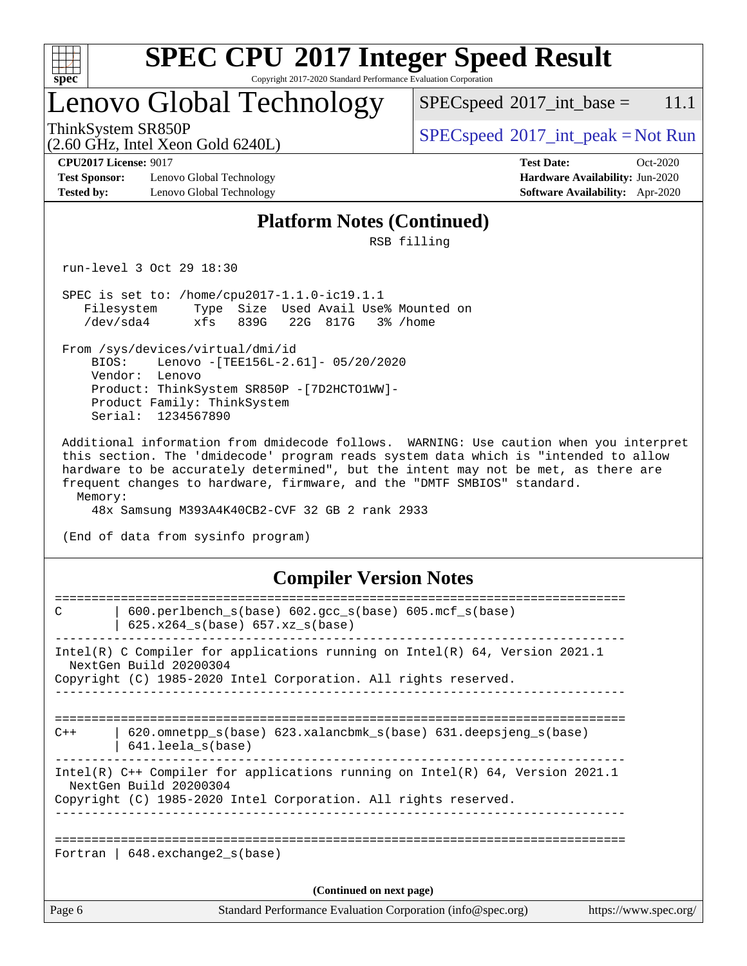

# **[SPEC CPU](http://www.spec.org/auto/cpu2017/Docs/result-fields.html#SPECCPU2017IntegerSpeedResult)[2017 Integer Speed Result](http://www.spec.org/auto/cpu2017/Docs/result-fields.html#SPECCPU2017IntegerSpeedResult)**

Copyright 2017-2020 Standard Performance Evaluation Corporation

### Lenovo Global Technology

 $SPECspeed^{\circ}2017\_int\_base = 11.1$  $SPECspeed^{\circ}2017\_int\_base = 11.1$ 

(2.60 GHz, Intel Xeon Gold 6240L)

 $SPEC speed^{\circ}2017\_int\_peak = Not Run$ 

**[Test Sponsor:](http://www.spec.org/auto/cpu2017/Docs/result-fields.html#TestSponsor)** Lenovo Global Technology **[Hardware Availability:](http://www.spec.org/auto/cpu2017/Docs/result-fields.html#HardwareAvailability)** Jun-2020 **[Tested by:](http://www.spec.org/auto/cpu2017/Docs/result-fields.html#Testedby)** Lenovo Global Technology **[Software Availability:](http://www.spec.org/auto/cpu2017/Docs/result-fields.html#SoftwareAvailability)** Apr-2020

**[CPU2017 License:](http://www.spec.org/auto/cpu2017/Docs/result-fields.html#CPU2017License)** 9017 **[Test Date:](http://www.spec.org/auto/cpu2017/Docs/result-fields.html#TestDate)** Oct-2020

#### **[Platform Notes \(Continued\)](http://www.spec.org/auto/cpu2017/Docs/result-fields.html#PlatformNotes)**

RSB filling

run-level 3 Oct 29 18:30

 SPEC is set to: /home/cpu2017-1.1.0-ic19.1.1 Filesystem Type Size Used Avail Use% Mounted on /dev/sda4 xfs 839G 22G 817G 3% /home

 From /sys/devices/virtual/dmi/id BIOS: Lenovo -[TEE156L-2.61]- 05/20/2020 Vendor: Lenovo Product: ThinkSystem SR850P -[7D2HCTO1WW]- Product Family: ThinkSystem Serial: 1234567890

 Additional information from dmidecode follows. WARNING: Use caution when you interpret this section. The 'dmidecode' program reads system data which is "intended to allow hardware to be accurately determined", but the intent may not be met, as there are frequent changes to hardware, firmware, and the "DMTF SMBIOS" standard. Memory:

48x Samsung M393A4K40CB2-CVF 32 GB 2 rank 2933

(End of data from sysinfo program)

#### **[Compiler Version Notes](http://www.spec.org/auto/cpu2017/Docs/result-fields.html#CompilerVersionNotes)**

| Page 6 | Standard Performance Evaluation Corporation (info@spec.org)                                                                                                                 | https://www.spec.org/ |
|--------|-----------------------------------------------------------------------------------------------------------------------------------------------------------------------------|-----------------------|
|        | (Continued on next page)                                                                                                                                                    |                       |
|        | Fortran   $648$ . exchange2 $s(base)$                                                                                                                                       |                       |
|        | Intel(R) C++ Compiler for applications running on Intel(R) 64, Version 2021.1<br>NextGen Build 20200304<br>Copyright (C) 1985-2020 Intel Corporation. All rights reserved.  |                       |
| $C++$  | $620$ .omnetpp $s(base)$ 623.xalancbmk $s(base)$ 631.deepsjeng $s(base)$<br>641.leela s(base)                                                                               |                       |
|        | Intel(R) C Compiler for applications running on $Intel(R) 64$ , Version 2021.1<br>NextGen Build 20200304<br>Copyright (C) 1985-2020 Intel Corporation. All rights reserved. |                       |
| C      | $600. perlbench_s(base) 602. gcc_s(base) 605. mcf_s(base)$<br>$625.x264_s(base) 657.xz_s(base)$                                                                             |                       |
|        |                                                                                                                                                                             |                       |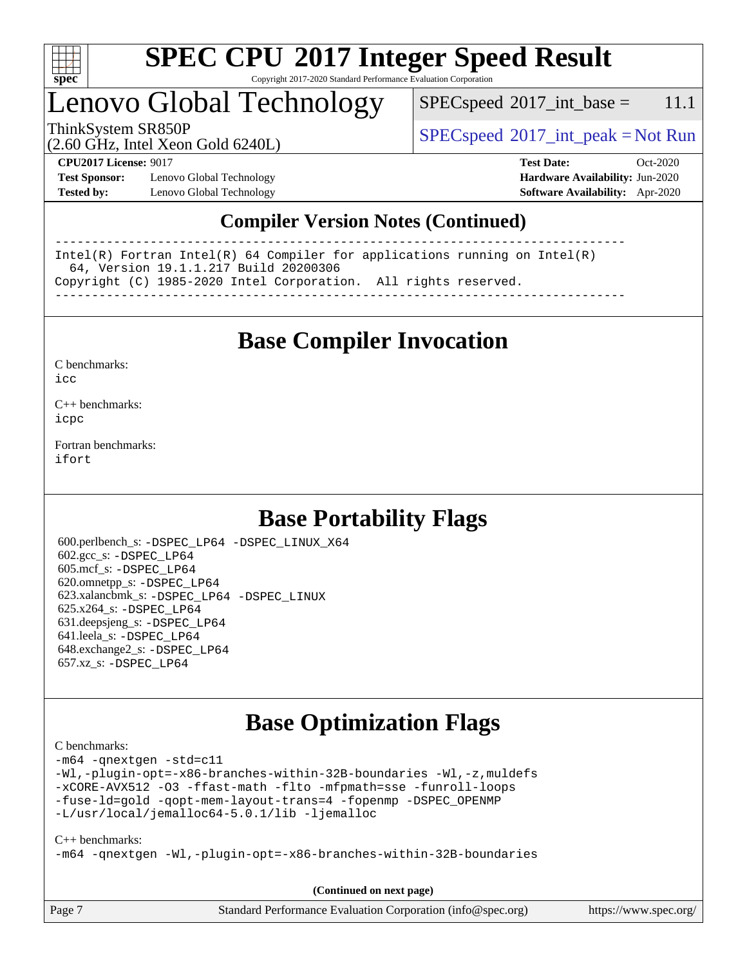

### Lenovo Global Technology

 $SPEC speed^{\circ}2017\_int\_base = 11.1$ 

ThinkSystem SR850P<br>  $\begin{array}{c}\n\text{SPEC speed} \text{°2017\_int\_peak} = \text{Not Run} \\
\text{SPEC speed} \text{°2017\_int\_peak} = \text{Not Run} \\
\end{array}$ 

(2.60 GHz, Intel Xeon Gold 6240L)

**[Test Sponsor:](http://www.spec.org/auto/cpu2017/Docs/result-fields.html#TestSponsor)** Lenovo Global Technology **[Hardware Availability:](http://www.spec.org/auto/cpu2017/Docs/result-fields.html#HardwareAvailability)** Jun-2020 **[Tested by:](http://www.spec.org/auto/cpu2017/Docs/result-fields.html#Testedby)** Lenovo Global Technology **[Software Availability:](http://www.spec.org/auto/cpu2017/Docs/result-fields.html#SoftwareAvailability)** Apr-2020

**[CPU2017 License:](http://www.spec.org/auto/cpu2017/Docs/result-fields.html#CPU2017License)** 9017 **[Test Date:](http://www.spec.org/auto/cpu2017/Docs/result-fields.html#TestDate)** Oct-2020

### **[Compiler Version Notes \(Continued\)](http://www.spec.org/auto/cpu2017/Docs/result-fields.html#CompilerVersionNotes)**

------------------------------------------------------------------------------ Intel(R) Fortran Intel(R) 64 Compiler for applications running on Intel(R) 64, Version 19.1.1.217 Build 20200306 Copyright (C) 1985-2020 Intel Corporation. All rights reserved. ------------------------------------------------------------------------------

**[Base Compiler Invocation](http://www.spec.org/auto/cpu2017/Docs/result-fields.html#BaseCompilerInvocation)**

[C benchmarks](http://www.spec.org/auto/cpu2017/Docs/result-fields.html#Cbenchmarks):  $i$ cc

[C++ benchmarks:](http://www.spec.org/auto/cpu2017/Docs/result-fields.html#CXXbenchmarks) [icpc](http://www.spec.org/cpu2017/results/res2020q4/cpu2017-20201109-24364.flags.html#user_CXXbase_intel_icpc_c510b6838c7f56d33e37e94d029a35b4a7bccf4766a728ee175e80a419847e808290a9b78be685c44ab727ea267ec2f070ec5dc83b407c0218cded6866a35d07)

[Fortran benchmarks](http://www.spec.org/auto/cpu2017/Docs/result-fields.html#Fortranbenchmarks): [ifort](http://www.spec.org/cpu2017/results/res2020q4/cpu2017-20201109-24364.flags.html#user_FCbase_intel_ifort_8111460550e3ca792625aed983ce982f94888b8b503583aa7ba2b8303487b4d8a21a13e7191a45c5fd58ff318f48f9492884d4413fa793fd88dd292cad7027ca)

### **[Base Portability Flags](http://www.spec.org/auto/cpu2017/Docs/result-fields.html#BasePortabilityFlags)**

 600.perlbench\_s: [-DSPEC\\_LP64](http://www.spec.org/cpu2017/results/res2020q4/cpu2017-20201109-24364.flags.html#b600.perlbench_s_basePORTABILITY_DSPEC_LP64) [-DSPEC\\_LINUX\\_X64](http://www.spec.org/cpu2017/results/res2020q4/cpu2017-20201109-24364.flags.html#b600.perlbench_s_baseCPORTABILITY_DSPEC_LINUX_X64) 602.gcc\_s: [-DSPEC\\_LP64](http://www.spec.org/cpu2017/results/res2020q4/cpu2017-20201109-24364.flags.html#suite_basePORTABILITY602_gcc_s_DSPEC_LP64) 605.mcf\_s: [-DSPEC\\_LP64](http://www.spec.org/cpu2017/results/res2020q4/cpu2017-20201109-24364.flags.html#suite_basePORTABILITY605_mcf_s_DSPEC_LP64) 620.omnetpp\_s: [-DSPEC\\_LP64](http://www.spec.org/cpu2017/results/res2020q4/cpu2017-20201109-24364.flags.html#suite_basePORTABILITY620_omnetpp_s_DSPEC_LP64) 623.xalancbmk\_s: [-DSPEC\\_LP64](http://www.spec.org/cpu2017/results/res2020q4/cpu2017-20201109-24364.flags.html#suite_basePORTABILITY623_xalancbmk_s_DSPEC_LP64) [-DSPEC\\_LINUX](http://www.spec.org/cpu2017/results/res2020q4/cpu2017-20201109-24364.flags.html#b623.xalancbmk_s_baseCXXPORTABILITY_DSPEC_LINUX) 625.x264\_s: [-DSPEC\\_LP64](http://www.spec.org/cpu2017/results/res2020q4/cpu2017-20201109-24364.flags.html#suite_basePORTABILITY625_x264_s_DSPEC_LP64) 631.deepsjeng\_s: [-DSPEC\\_LP64](http://www.spec.org/cpu2017/results/res2020q4/cpu2017-20201109-24364.flags.html#suite_basePORTABILITY631_deepsjeng_s_DSPEC_LP64) 641.leela\_s: [-DSPEC\\_LP64](http://www.spec.org/cpu2017/results/res2020q4/cpu2017-20201109-24364.flags.html#suite_basePORTABILITY641_leela_s_DSPEC_LP64) 648.exchange2\_s: [-DSPEC\\_LP64](http://www.spec.org/cpu2017/results/res2020q4/cpu2017-20201109-24364.flags.html#suite_basePORTABILITY648_exchange2_s_DSPEC_LP64) 657.xz\_s: [-DSPEC\\_LP64](http://www.spec.org/cpu2017/results/res2020q4/cpu2017-20201109-24364.flags.html#suite_basePORTABILITY657_xz_s_DSPEC_LP64)

### **[Base Optimization Flags](http://www.spec.org/auto/cpu2017/Docs/result-fields.html#BaseOptimizationFlags)**

[C benchmarks](http://www.spec.org/auto/cpu2017/Docs/result-fields.html#Cbenchmarks):

[-m64](http://www.spec.org/cpu2017/results/res2020q4/cpu2017-20201109-24364.flags.html#user_CCbase_m64-icc) [-qnextgen](http://www.spec.org/cpu2017/results/res2020q4/cpu2017-20201109-24364.flags.html#user_CCbase_f-qnextgen) [-std=c11](http://www.spec.org/cpu2017/results/res2020q4/cpu2017-20201109-24364.flags.html#user_CCbase_std-icc-std_0e1c27790398a4642dfca32ffe6c27b5796f9c2d2676156f2e42c9c44eaad0c049b1cdb667a270c34d979996257aeb8fc440bfb01818dbc9357bd9d174cb8524) [-Wl,-plugin-opt=-x86-branches-within-32B-boundaries](http://www.spec.org/cpu2017/results/res2020q4/cpu2017-20201109-24364.flags.html#user_CCbase_f-x86-branches-within-32B-boundaries_0098b4e4317ae60947b7b728078a624952a08ac37a3c797dfb4ffeb399e0c61a9dd0f2f44ce917e9361fb9076ccb15e7824594512dd315205382d84209e912f3) [-Wl,-z,muldefs](http://www.spec.org/cpu2017/results/res2020q4/cpu2017-20201109-24364.flags.html#user_CCbase_link_force_multiple1_b4cbdb97b34bdee9ceefcfe54f4c8ea74255f0b02a4b23e853cdb0e18eb4525ac79b5a88067c842dd0ee6996c24547a27a4b99331201badda8798ef8a743f577) [-xCORE-AVX512](http://www.spec.org/cpu2017/results/res2020q4/cpu2017-20201109-24364.flags.html#user_CCbase_f-xCORE-AVX512) [-O3](http://www.spec.org/cpu2017/results/res2020q4/cpu2017-20201109-24364.flags.html#user_CCbase_f-O3) [-ffast-math](http://www.spec.org/cpu2017/results/res2020q4/cpu2017-20201109-24364.flags.html#user_CCbase_f-ffast-math) [-flto](http://www.spec.org/cpu2017/results/res2020q4/cpu2017-20201109-24364.flags.html#user_CCbase_f-flto) [-mfpmath=sse](http://www.spec.org/cpu2017/results/res2020q4/cpu2017-20201109-24364.flags.html#user_CCbase_f-mfpmath_70eb8fac26bde974f8ab713bc9086c5621c0b8d2f6c86f38af0bd7062540daf19db5f3a066d8c6684be05d84c9b6322eb3b5be6619d967835195b93d6c02afa1) [-funroll-loops](http://www.spec.org/cpu2017/results/res2020q4/cpu2017-20201109-24364.flags.html#user_CCbase_f-funroll-loops) [-fuse-ld=gold](http://www.spec.org/cpu2017/results/res2020q4/cpu2017-20201109-24364.flags.html#user_CCbase_f-fuse-ld_920b3586e2b8c6e0748b9c84fa9b744736ba725a32cab14ad8f3d4ad28eecb2f59d1144823d2e17006539a88734fe1fc08fc3035f7676166309105a78aaabc32) [-qopt-mem-layout-trans=4](http://www.spec.org/cpu2017/results/res2020q4/cpu2017-20201109-24364.flags.html#user_CCbase_f-qopt-mem-layout-trans_fa39e755916c150a61361b7846f310bcdf6f04e385ef281cadf3647acec3f0ae266d1a1d22d972a7087a248fd4e6ca390a3634700869573d231a252c784941a8) [-fopenmp](http://www.spec.org/cpu2017/results/res2020q4/cpu2017-20201109-24364.flags.html#user_CCbase_fopenmp_5aa2e47ce4f2ef030ba5d12d5a7a9c4e57167333d78243fcadb80b48d5abb78ff19333f8478e0b2a41e63049eb285965c145ccab7b93db7d0c4d59e4dc6f5591) [-DSPEC\\_OPENMP](http://www.spec.org/cpu2017/results/res2020q4/cpu2017-20201109-24364.flags.html#suite_CCbase_DSPEC_OPENMP) [-L/usr/local/jemalloc64-5.0.1/lib](http://www.spec.org/cpu2017/results/res2020q4/cpu2017-20201109-24364.flags.html#user_CCbase_jemalloc_link_path64_1_cc289568b1a6c0fd3b62c91b824c27fcb5af5e8098e6ad028160d21144ef1b8aef3170d2acf0bee98a8da324cfe4f67d0a3d0c4cc4673d993d694dc2a0df248b) [-ljemalloc](http://www.spec.org/cpu2017/results/res2020q4/cpu2017-20201109-24364.flags.html#user_CCbase_jemalloc_link_lib_d1249b907c500fa1c0672f44f562e3d0f79738ae9e3c4a9c376d49f265a04b9c99b167ecedbf6711b3085be911c67ff61f150a17b3472be731631ba4d0471706)

[C++ benchmarks:](http://www.spec.org/auto/cpu2017/Docs/result-fields.html#CXXbenchmarks)

[-m64](http://www.spec.org/cpu2017/results/res2020q4/cpu2017-20201109-24364.flags.html#user_CXXbase_m64-icc) [-qnextgen](http://www.spec.org/cpu2017/results/res2020q4/cpu2017-20201109-24364.flags.html#user_CXXbase_f-qnextgen) [-Wl,-plugin-opt=-x86-branches-within-32B-boundaries](http://www.spec.org/cpu2017/results/res2020q4/cpu2017-20201109-24364.flags.html#user_CXXbase_f-x86-branches-within-32B-boundaries_0098b4e4317ae60947b7b728078a624952a08ac37a3c797dfb4ffeb399e0c61a9dd0f2f44ce917e9361fb9076ccb15e7824594512dd315205382d84209e912f3)

Page 7 Standard Performance Evaluation Corporation [\(info@spec.org\)](mailto:info@spec.org) <https://www.spec.org/> **(Continued on next page)**